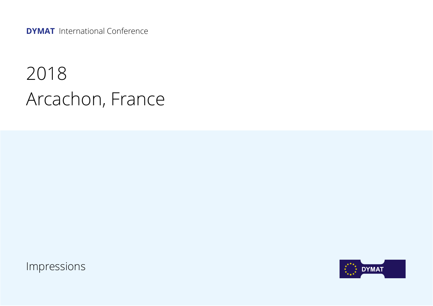**DYMAT** International Conference

## 2018 Arcachon, France

Impressions

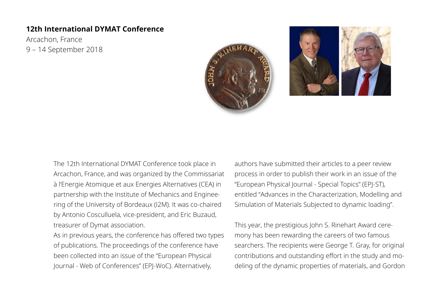## **12th International DYMAT Conference**

Arcachon, France 9 – 14 September 2018





The 12th International DYMAT Conference took place in Arcachon, France, and was organized by the Commissariat à l'Energie Atomique et aux Energies Alternatives (CEA) in partnership with the Institute of Mechanics and Engineering of the University of Bordeaux (I2M). It was co-chaired by Antonio Cosculluela, vice-president, and Eric Buzaud, treasurer of Dymat association.

As in previous years, the conference has offered two types of publications. The proceedings of the conference have been collected into an issue of the "European Physical Journal - Web of Conferences" (EPJ-WoC). Alternatively,

authors have submitted their articles to a peer review process in order to publish their work in an issue of the "European Physical Journal - Special Topics" (EPJ-ST), entitled "Advances in the Characterization, Modelling and Simulation of Materials Subjected to dynamic loading".

This year, the prestigious John S. Rinehart Award ceremony has been rewarding the careers of two famous searchers. The recipients were George T. Gray, for original contributions and outstanding effort in the study and modeling of the dynamic properties of materials, and Gordon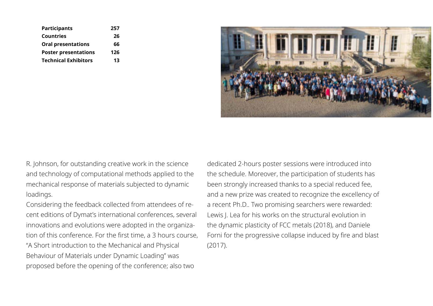| <b>Participants</b>         | 257 |
|-----------------------------|-----|
| <b>Countries</b>            | 26  |
| <b>Oral presentations</b>   | 66  |
| <b>Poster presentations</b> | 126 |
| <b>Technical Exhibitors</b> | 13  |



R. Johnson, for outstanding creative work in the science and technology of computational methods applied to the mechanical response of materials subjected to dynamic loadings.

Considering the feedback collected from attendees of recent editions of Dymat's international conferences, several innovations and evolutions were adopted in the organization of this conference. For the first time, a 3 hours course, "A Short introduction to the Mechanical and Physical Behaviour of Materials under Dynamic Loading" was proposed before the opening of the conference; also two

dedicated 2-hours poster sessions were introduced into the schedule. Moreover, the participation of students has been strongly increased thanks to a special reduced fee, and a new prize was created to recognize the excellency of a recent Ph.D.. Two promising searchers were rewarded: Lewis J. Lea for his works on the structural evolution in the dynamic plasticity of FCC metals (2018), and Daniele Forni for the progressive collapse induced by fire and blast (2017).